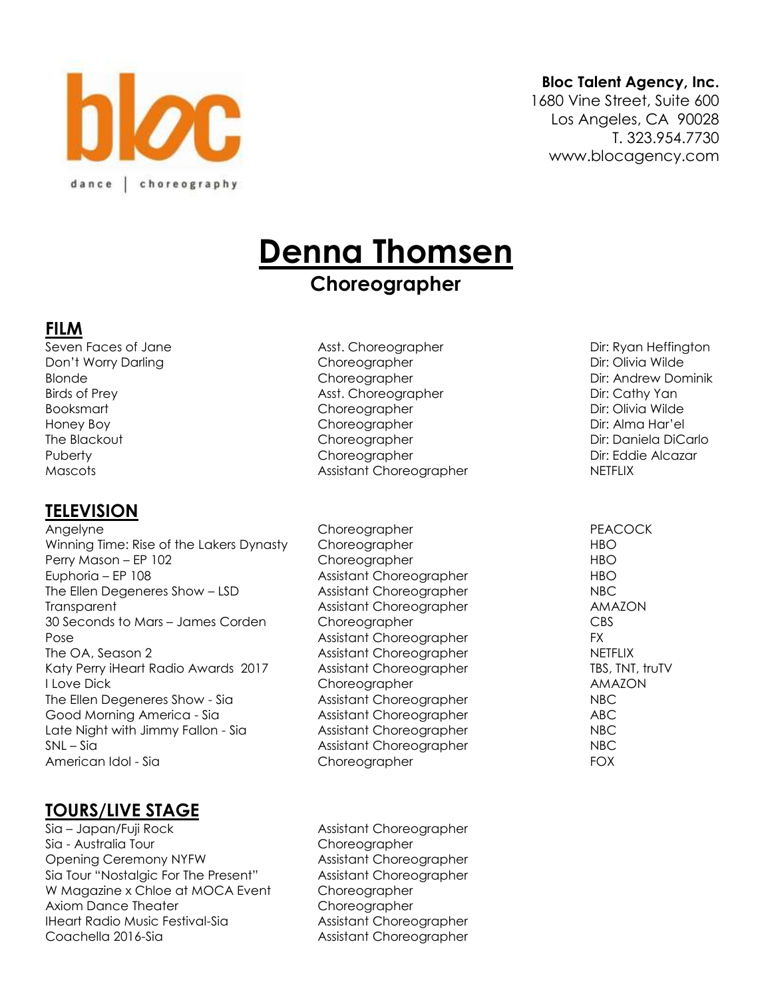

#### **Bloc Talent Agency, Inc.**

1680 Vine Street, Suite 600 Los Angeles, CA 90028 T. 323.954.7730 www.blocagency.com

# **Denna Thomsen**

## **Choreographer**

#### **FILM**

Seven Faces of Jane **Asst. Choreographer** Asst. Choreographer Dir: Ryan Heffington

#### **TELEVISION**

Angelyne **Choreographer PEACOCK** Winning Time: Rise of the Lakers Dynasty Choreographer Theorem Channels Choreographer HBO Perry Mason – EP 102 Choreographer HBO Euphoria – EP 108 and Euphoria – EP 108 and Euphoria – EP 108 The Ellen Degeneres Show – LSD Assistant Choreographer Choreographer Transparent **Assistant Choreographer AMAZON** 30 Seconds to Mars – James Corden Choreographer CBS Pose **Assistant Choreographer** FX The OA, Season 2 **Assistant Choreographer** The OA, Season 2 Katy Perry iHeart Radio Awards 2017 Assistant Choreographer TBS, TNT, truTV I Love Dick Choreographer AMAZON The Ellen Degeneres Show - Sia Assistant Choreographer NBC Good Morning America - Sia Assistant Choreographer ABC Late Night with Jimmy Fallon - Sia Assistant Choreographer NBC SNL – Sia and Assistant Choreographer NBC American Idol - Sia Choreographer FOX

## **TOURS/LIVE STAGE**

Sia – Japan/Fuji Rock Assistant Choreographer Sia - Australia Tour Choreographer Opening Ceremony NYFW Assistant Choreographer Sia Tour "Nostalgic For The Present" Assistant Choreographer W Magazine x Chloe at MOCA Event Choreographer Axiom Dance Theater **Choreographer** IHeart Radio Music Festival-Sia Assistant Choreographer Coachella 2016-Sia Assistant Choreographer

Don't Worry Darling The Choreographer Choreographer Dir: Olivia Wilde Blonde Choreographer Choreographer Dir: Andrew Dominik Birds of Prey **Asst. Choreographer** Asst. Choreographer Dir: Cathy Yan Booksmart Choreographer Choreographer Dir: Olivia Wilde Honey Boy Choreographer Dir: Alma Har'el The Blackout **Choreographer Choreographer** Dir: Daniela DiCarlo Puberty **Choreographer Choreographer** Dir: Eddie Alcazar Mascots **Assistant Choreographer NETFLIX** Assistant Choreographer **NETFLIX**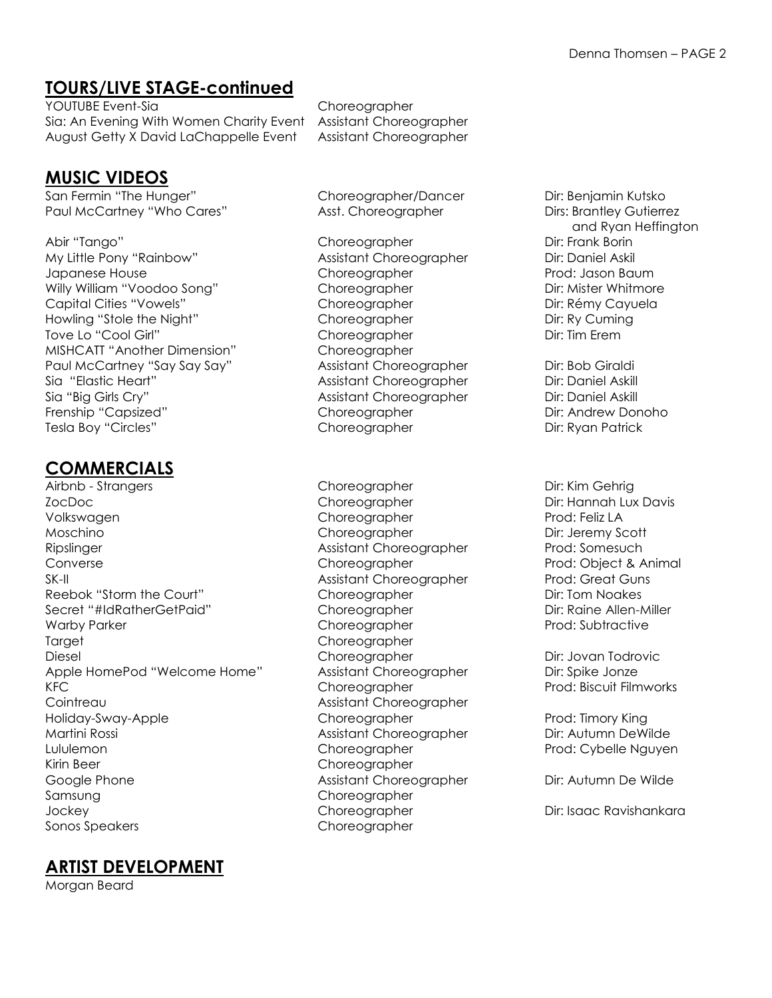### **TOURS/LIVE STAGE-continued**

YOUTUBE Event-Sia Choreographer Sia: An Evening With Women Charity Event Assistant Choreographer August Getty X David LaChappelle Event Assistant Choreographer

#### **MUSIC VIDEOS**

San Fermin "The Hunger" Choreographer/Dancer Dir: Benjamin Kutsko Paul McCartney "Who Cares" Asst. Choreographer Dirs: Brantley Gutierrez

Abir "Tango" Choreographer Dir: Frank Borin Dir: Frank Borin My Little Pony "Rainbow" Assistant Choreographer Dir: Daniel Askil Japanese House Choreographer Prod: Jason Baum Willy William "Voodoo Song" Choreographer Dir: Mister Whitmore Capital Cities "Vowels" Choreographer Capital Cities "Vowels" Choreographer Dir: Rémy Cayuela Howling "Stole the Night" Choreographer Choreographer Dir: Ry Cuming Tove Lo "Cool Girl" Choreographer Choreographer Dir: Tim Erem MISHCATT "Another Dimension" Choreographer Paul McCartney "Say Say Say" Assistant Choreographer Dir: Bob Giraldi Sia "Elastic Heart" Assistant Choreographer Dir: Daniel Askill Sia "Big Girls Cry" Assistant Choreographer Dir: Daniel Askill Frenship "Capsized" Choreographer Choreographer Dir: Andrew Donoho Tesla Boy "Circles" Choreographer Dir: Ryan Patrick

## **COMMERCIALS**

Airbnb - Strangers Choreographer Dir: Kim Gehrig ZocDoc Choreographer Dir: Hannah Lux Davis Volkswagen Choreographer Prod: Feliz LA Moschino Choreographer Dir: Jeremy Scott Ripslinger **Assistant Choreographer Prod: Somesuch** Assistant Choreographer Prod: Somesuch Converse Converse Choreographer Choreographer Prod: Object & Animal SK-II Assistant Choreographer Prod: Great Guns Reebok "Storm the Court" Choreographer Choreographer Dir: Tom Noakes Secret "#IdRatherGetPaid" Choreographer Dir: Raine Allen-Miller Warby Parker Choreographer Choreographer Prod: Subtractive Target Choreographer Diesel Choreographer Dir: Jovan Todrovic Apple HomePod "Welcome Home" Assistant Choreographer Dir: Spike Jonze KFC **Choreographer Prod: Biscuit Filmworks** Choreographer Prod: Biscuit Filmworks Cointreau **Cointreau Assistant Choreographer** Holiday-Sway-Apple Choreographer Prod: Timory King Martini Rossi **Assistant Choreographer** Dir: Autumn DeWilde Lululemon Choreographer Prod: Cybelle Nguyen Kirin Beer Choreographer Google Phone **Assistant Choreographer** Dir: Autumn De Wilde Samsung Choreographer Jockey Choreographer Dir: Isaac Ravishankara Sonos Speakers Choreographer

#### **ARTIST DEVELOPMENT**

Morgan Beard

and Ryan Heffington